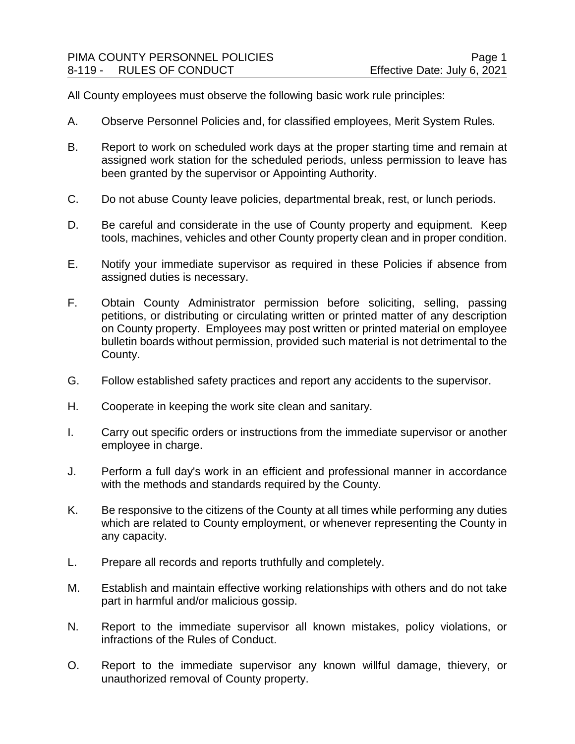All County employees must observe the following basic work rule principles:

- A. Observe Personnel Policies and, for classified employees, Merit System Rules.
- B. Report to work on scheduled work days at the proper starting time and remain at assigned work station for the scheduled periods, unless permission to leave has been granted by the supervisor or Appointing Authority.
- C. Do not abuse County leave policies, departmental break, rest, or lunch periods.
- D. Be careful and considerate in the use of County property and equipment. Keep tools, machines, vehicles and other County property clean and in proper condition.
- E. Notify your immediate supervisor as required in these Policies if absence from assigned duties is necessary.
- F. Obtain County Administrator permission before soliciting, selling, passing petitions, or distributing or circulating written or printed matter of any description on County property. Employees may post written or printed material on employee bulletin boards without permission, provided such material is not detrimental to the County.
- G. Follow established safety practices and report any accidents to the supervisor.
- H. Cooperate in keeping the work site clean and sanitary.
- I. Carry out specific orders or instructions from the immediate supervisor or another employee in charge.
- J. Perform a full day's work in an efficient and professional manner in accordance with the methods and standards required by the County.
- K. Be responsive to the citizens of the County at all times while performing any duties which are related to County employment, or whenever representing the County in any capacity.
- L. Prepare all records and reports truthfully and completely.
- M. Establish and maintain effective working relationships with others and do not take part in harmful and/or malicious gossip.
- N. Report to the immediate supervisor all known mistakes, policy violations, or infractions of the Rules of Conduct.
- O. Report to the immediate supervisor any known willful damage, thievery, or unauthorized removal of County property.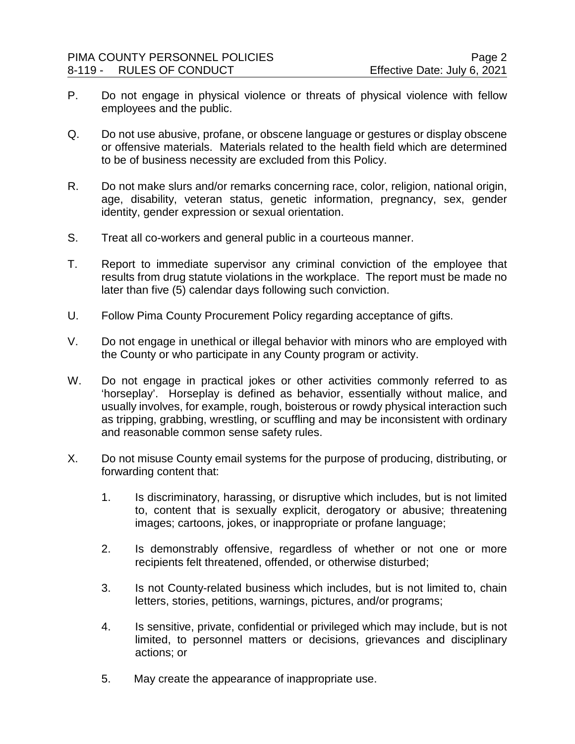- P. Do not engage in physical violence or threats of physical violence with fellow employees and the public.
- Q. Do not use abusive, profane, or obscene language or gestures or display obscene or offensive materials. Materials related to the health field which are determined to be of business necessity are excluded from this Policy.
- R. Do not make slurs and/or remarks concerning race, color, religion, national origin, age, disability, veteran status, genetic information, pregnancy, sex, gender identity, gender expression or sexual orientation.
- S. Treat all co-workers and general public in a courteous manner.
- T. Report to immediate supervisor any criminal conviction of the employee that results from drug statute violations in the workplace. The report must be made no later than five (5) calendar days following such conviction.
- U. Follow Pima County Procurement Policy regarding acceptance of gifts.
- V. Do not engage in unethical or illegal behavior with minors who are employed with the County or who participate in any County program or activity.
- W. Do not engage in practical jokes or other activities commonly referred to as 'horseplay'. Horseplay is defined as behavior, essentially without malice, and usually involves, for example, rough, boisterous or rowdy physical interaction such as tripping, grabbing, wrestling, or scuffling and may be inconsistent with ordinary and reasonable common sense safety rules.
- X. Do not misuse County email systems for the purpose of producing, distributing, or forwarding content that:
	- 1. Is discriminatory, harassing, or disruptive which includes, but is not limited to, content that is sexually explicit, derogatory or abusive; threatening images; cartoons, jokes, or inappropriate or profane language;
	- 2. Is demonstrably offensive, regardless of whether or not one or more recipients felt threatened, offended, or otherwise disturbed;
	- 3. Is not County-related business which includes, but is not limited to, chain letters, stories, petitions, warnings, pictures, and/or programs;
	- 4. Is sensitive, private, confidential or privileged which may include, but is not limited, to personnel matters or decisions, grievances and disciplinary actions; or
	- 5. May create the appearance of inappropriate use.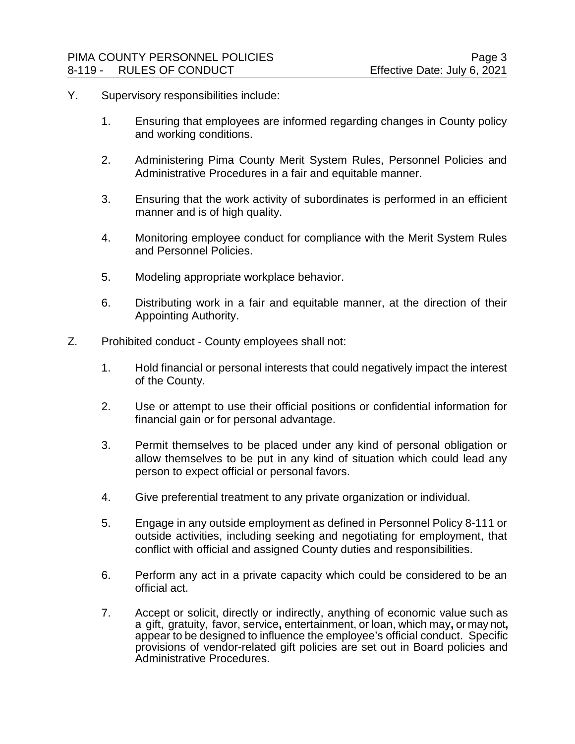- Y. Supervisory responsibilities include:
	- 1. Ensuring that employees are informed regarding changes in County policy and working conditions.
	- 2. Administering Pima County Merit System Rules, Personnel Policies and Administrative Procedures in a fair and equitable manner.
	- 3. Ensuring that the work activity of subordinates is performed in an efficient manner and is of high quality.
	- 4. Monitoring employee conduct for compliance with the Merit System Rules and Personnel Policies.
	- 5. Modeling appropriate workplace behavior.
	- 6. Distributing work in a fair and equitable manner, at the direction of their Appointing Authority.
- Z. Prohibited conduct County employees shall not:
	- 1. Hold financial or personal interests that could negatively impact the interest of the County.
	- 2. Use or attempt to use their official positions or confidential information for financial gain or for personal advantage.
	- 3. Permit themselves to be placed under any kind of personal obligation or allow themselves to be put in any kind of situation which could lead any person to expect official or personal favors.
	- 4. Give preferential treatment to any private organization or individual.
	- 5. Engage in any outside employment as defined in Personnel Policy 8-111 or outside activities, including seeking and negotiating for employment, that conflict with official and assigned County duties and responsibilities.
	- 6. Perform any act in a private capacity which could be considered to be an official act.
	- 7. Accept or solicit, directly or indirectly, anything of economic value such as a gift, gratuity, favor, service**,** entertainment, or loan, which may**,** or may not**,** appear to be designed to influence the employee's official conduct. Specific provisions of vendor-related gift policies are set out in Board policies and Administrative Procedures.